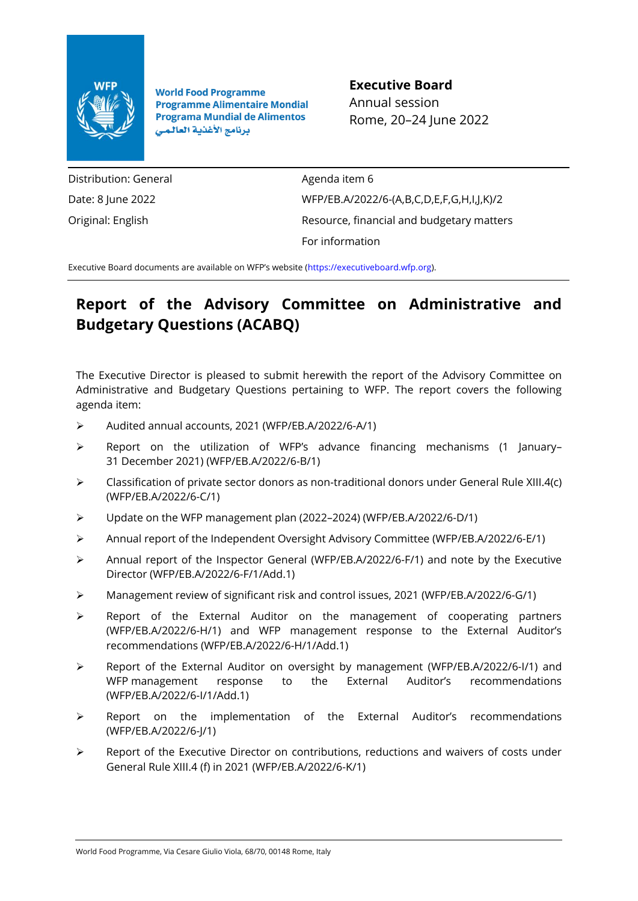

**World Food Programme Programme Alimentaire Mondial Programa Mundial de Alimentos** برنامج الأغذية العالمى

**Executive Board** Annual session Rome, 20–24 June 2022

Distribution: General Date: 8 June 2022 Original: English

Agenda item 6 WFP/EB.A/2022/6-(A,B,C,D,E,F,G,H,I,J,K)/2 Resource, financial and budgetary matters For information

Executive Board documents are available on WFP's website ([https://executiveboard.wfp.org\)](https://executiveboard.wfp.org/).

# **Report of the Advisory Committee on Administrative and Budgetary Questions (ACABQ)**

The Executive Director is pleased to submit herewith the report of the Advisory Committee on Administrative and Budgetary Questions pertaining to WFP. The report covers the following agenda item:

- ➢ Audited annual accounts, 2021 (WFP/EB.A/2022/6-A/1)
- $\triangleright$  Report on the utilization of WFP's advance financing mechanisms (1 January– 31 December 2021) (WFP/EB.A/2022/6-B/1)
- $\triangleright$  Classification of private sector donors as non-traditional donors under General Rule XIII.4(c) (WFP/EB.A/2022/6-C/1)
- ➢ Update on the WFP management plan (2022–2024) (WFP/EB.A/2022/6-D/1)
- ➢ Annual report of the Independent Oversight Advisory Committee (WFP/EB.A/2022/6-E/1)
- ➢ Annual report of the Inspector General (WFP/EB.A/2022/6-F/1) and note by the Executive Director (WFP/EB.A/2022/6-F/1/Add.1)
- ➢ Management review of significant risk and control issues, 2021 (WFP/EB.A/2022/6-G/1)
- ➢ Report of the External Auditor on the management of cooperating partners (WFP/EB.A/2022/6-H/1) and WFP management response to the External Auditor's recommendations (WFP/EB.A/2022/6-H/1/Add.1)
- ➢ Report of the External Auditor on oversight by management (WFP/EB.A/2022/6-I/1) and WFP management response to the External Auditor's recommendations (WFP/EB.A/2022/6-I/1/Add.1)
- ➢ Report on the implementation of the External Auditor's recommendations (WFP/EB.A/2022/6-J/1)
- $\triangleright$  Report of the Executive Director on contributions, reductions and waivers of costs under General Rule XIII.4 (f) in 2021 (WFP/EB.A/2022/6-K/1)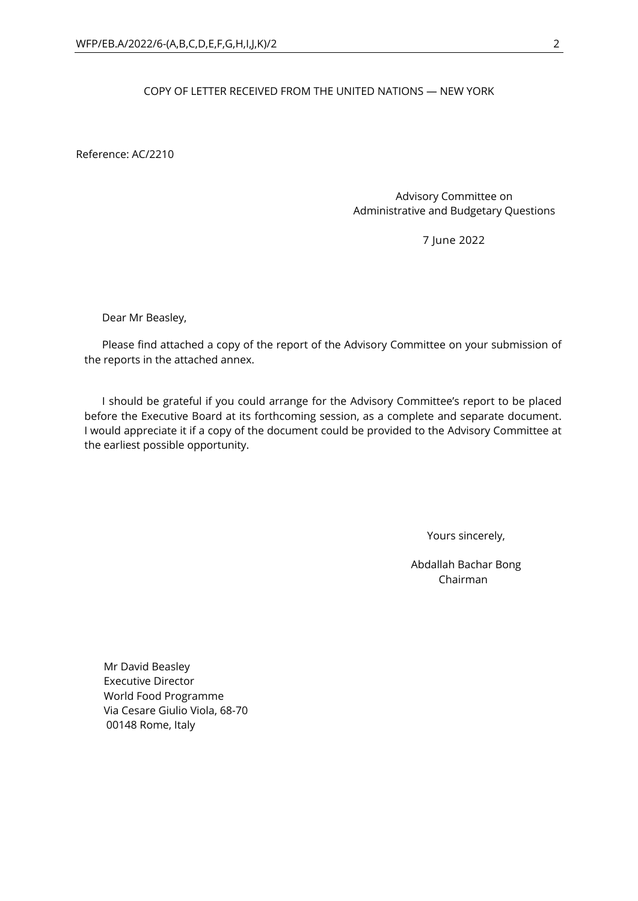# COPY OF LETTER RECEIVED FROM THE UNITED NATIONS — NEW YORK

Reference: AC/2210

Advisory Committee on Administrative and Budgetary Questions

7 June 2022

Dear Mr Beasley,

Please find attached a copy of the report of the Advisory Committee on your submission of the reports in the attached annex.

I should be grateful if you could arrange for the Advisory Committee's report to be placed before the Executive Board at its forthcoming session, as a complete and separate document. I would appreciate it if a copy of the document could be provided to the Advisory Committee at the earliest possible opportunity.

Yours sincerely,

Abdallah Bachar Bong Chairman

Mr David Beasley Executive Director World Food Programme Via Cesare Giulio Viola, 68-70 00148 Rome, Italy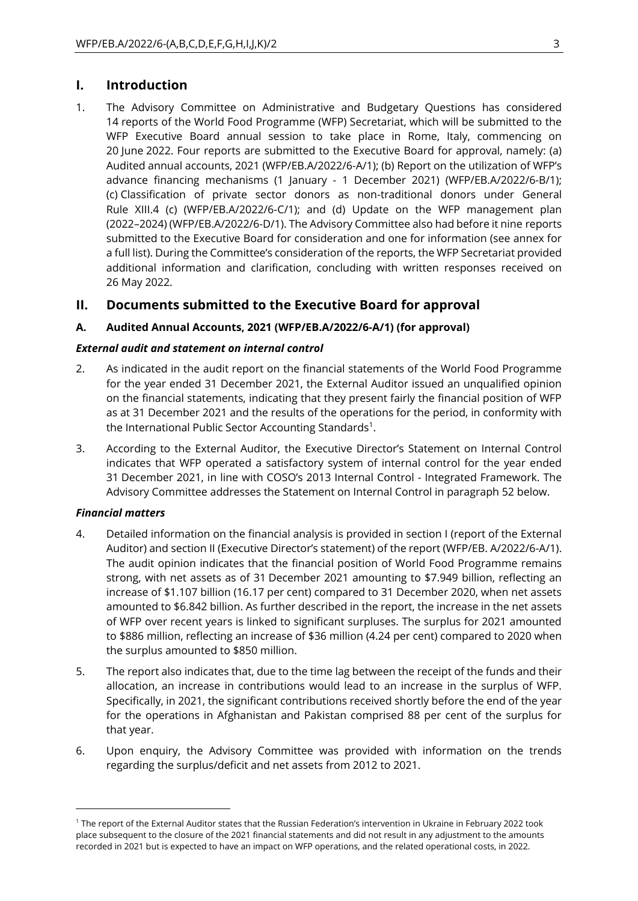# **I. Introduction**

1. The Advisory Committee on Administrative and Budgetary Questions has considered 14 reports of the World Food Programme (WFP) Secretariat, which will be submitted to the WFP Executive Board annual session to take place in Rome, Italy, commencing on 20 June 2022. Four reports are submitted to the Executive Board for approval, namely: (a) Audited annual accounts, 2021 (WFP/EB.A/2022/6-A/1); (b) Report on the utilization of WFP's advance financing mechanisms (1 January - 1 December 2021) (WFP/EB.A/2022/6-B/1); (c) Classification of private sector donors as non-traditional donors under General Rule XIII.4 (c) (WFP/EB.A/2022/6-C/1); and (d) Update on the WFP management plan (2022–2024) (WFP/EB.A/2022/6-D/1). The Advisory Committee also had before it nine reports submitted to the Executive Board for consideration and one for information (see annex for a full list). During the Committee's consideration of the reports, the WFP Secretariat provided additional information and clarification, concluding with written responses received on 26 May 2022.

# **II. Documents submitted to the Executive Board for approval**

# **A. Audited Annual Accounts, 2021 (WFP/EB.A/2022/6-A/1) (for approval)**

# *External audit and statement on internal control*

- 2. As indicated in the audit report on the financial statements of the World Food Programme for the year ended 31 December 2021, the External Auditor issued an unqualified opinion on the financial statements, indicating that they present fairly the financial position of WFP as at 31 December 2021 and the results of the operations for the period, in conformity with the International Public Sector Accounting Standards<sup>1</sup>.
- 3. According to the External Auditor, the Executive Director's Statement on Internal Control indicates that WFP operated a satisfactory system of internal control for the year ended 31 December 2021, in line with COSO's 2013 Internal Control - Integrated Framework. The Advisory Committee addresses the Statement on Internal Control in paragraph 52 below.

# *Financial matters*

- 4. Detailed information on the financial analysis is provided in section I (report of the External Auditor) and section II (Executive Director's statement) of the report (WFP/EB. A/2022/6-A/1). The audit opinion indicates that the financial position of World Food Programme remains strong, with net assets as of 31 December 2021 amounting to \$7.949 billion, reflecting an increase of \$1.107 billion (16.17 per cent) compared to 31 December 2020, when net assets amounted to \$6.842 billion. As further described in the report, the increase in the net assets of WFP over recent years is linked to significant surpluses. The surplus for 2021 amounted to \$886 million, reflecting an increase of \$36 million (4.24 per cent) compared to 2020 when the surplus amounted to \$850 million.
- 5. The report also indicates that, due to the time lag between the receipt of the funds and their allocation, an increase in contributions would lead to an increase in the surplus of WFP. Specifically, in 2021, the significant contributions received shortly before the end of the year for the operations in Afghanistan and Pakistan comprised 88 per cent of the surplus for that year.
- 6. Upon enquiry, the Advisory Committee was provided with information on the trends regarding the surplus/deficit and net assets from 2012 to 2021.

<sup>1</sup> The report of the External Auditor states that the Russian Federation's intervention in Ukraine in February 2022 took place subsequent to the closure of the 2021 financial statements and did not result in any adjustment to the amounts recorded in 2021 but is expected to have an impact on WFP operations, and the related operational costs, in 2022.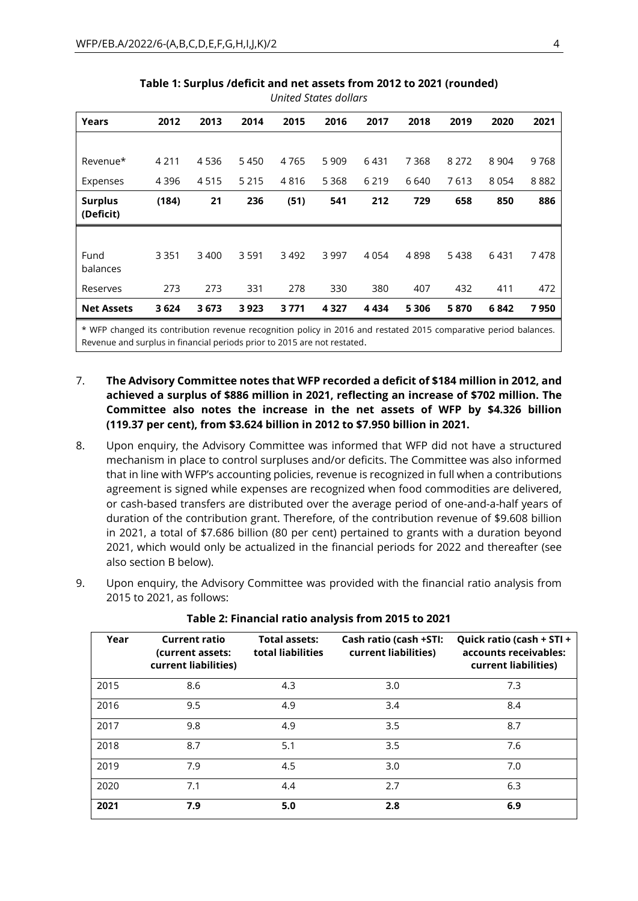| Years                       | 2012    | 2013 | 2014    | 2015 | 2016    | 2017    | 2018    | 2019    | 2020    | 2021 |
|-----------------------------|---------|------|---------|------|---------|---------|---------|---------|---------|------|
|                             |         |      |         |      |         |         |         |         |         |      |
| Revenue*                    | 4 2 1 1 | 4536 | 5450    | 4765 | 5 9 0 9 | 6431    | 7 3 6 8 | 8 2 7 2 | 8 9 0 4 | 9768 |
| Expenses                    | 4 3 9 6 | 4515 | 5 2 1 5 | 4816 | 5 3 6 8 | 6 2 1 9 | 6640    | 7613    | 8054    | 8882 |
| <b>Surplus</b><br>(Deficit) | (184)   | 21   | 236     | (51) | 541     | 212     | 729     | 658     | 850     | 886  |
|                             |         |      |         |      |         |         |         |         |         |      |
| Fund<br>balances            | 3 3 5 1 | 3400 | 3 5 9 1 | 3492 | 3997    | 4054    | 4898    | 5438    | 6431    | 7478 |
| Reserves                    | 273     | 273  | 331     | 278  | 330     | 380     | 407     | 432     | 411     | 472  |
| <b>Net Assets</b>           | 3624    | 3673 | 3 9 2 3 | 3771 | 4 3 2 7 | 4 4 3 4 | 5 3 0 6 | 5870    | 6842    | 7950 |
|                             |         |      |         |      |         |         |         |         |         |      |

#### **Table 1: Surplus /deficit and net assets from 2012 to 2021 (rounded)** *United States dollars*

\* WFP changed its contribution revenue recognition policy in 2016 and restated 2015 comparative period balances. Revenue and surplus in financial periods prior to 2015 are not restated.

- 7. **The Advisory Committee notes that WFP recorded a deficit of \$184 million in 2012, and achieved a surplus of \$886 million in 2021, reflecting an increase of \$702 million. The Committee also notes the increase in the net assets of WFP by \$4.326 billion (119.37 per cent), from \$3.624 billion in 2012 to \$7.950 billion in 2021.**
- 8. Upon enquiry, the Advisory Committee was informed that WFP did not have a structured mechanism in place to control surpluses and/or deficits. The Committee was also informed that in line with WFP's accounting policies, revenue is recognized in full when a contributions agreement is signed while expenses are recognized when food commodities are delivered, or cash-based transfers are distributed over the average period of one-and-a-half years of duration of the contribution grant. Therefore, of the contribution revenue of \$9.608 billion in 2021, a total of \$7.686 billion (80 per cent) pertained to grants with a duration beyond 2021, which would only be actualized in the financial periods for 2022 and thereafter (see also section B below).
- 9. Upon enquiry, the Advisory Committee was provided with the financial ratio analysis from 2015 to 2021, as follows:

| Year | <b>Current ratio</b><br>(current assets:<br>current liabilities) | <b>Total assets:</b><br>total liabilities | Cash ratio (cash +STI:<br>current liabilities) | Quick ratio (cash + STI +<br>accounts receivables:<br>current liabilities) |
|------|------------------------------------------------------------------|-------------------------------------------|------------------------------------------------|----------------------------------------------------------------------------|
| 2015 | 8.6                                                              | 4.3                                       | 3.0                                            | 7.3                                                                        |
| 2016 | 9.5                                                              | 4.9                                       | 3.4                                            | 8.4                                                                        |
| 2017 | 9.8                                                              | 4.9                                       | 3.5                                            | 8.7                                                                        |
| 2018 | 8.7                                                              | 5.1                                       | 3.5                                            | 7.6                                                                        |
| 2019 | 7.9                                                              | 4.5                                       | 3.0                                            | 7.0                                                                        |
| 2020 | 7.1                                                              | 4.4                                       | 2.7                                            | 6.3                                                                        |
| 2021 | 7.9                                                              | 5.0                                       | 2.8                                            | 6.9                                                                        |

**Table 2: Financial ratio analysis from 2015 to 2021**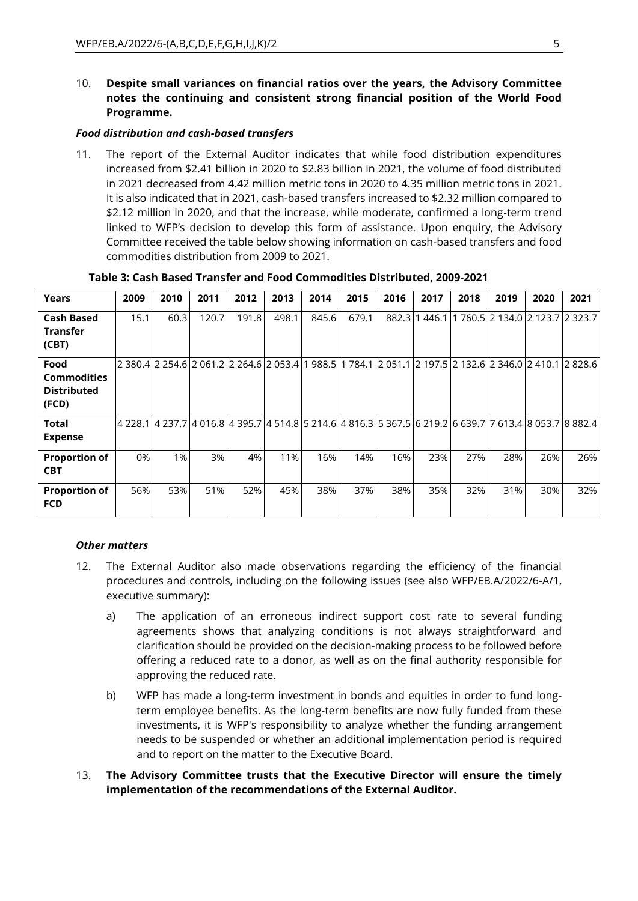10. **Despite small variances on financial ratios over the years, the Advisory Committee notes the continuing and consistent strong financial position of the World Food Programme.** 

#### *Food distribution and cash-based transfers*

11. The report of the External Auditor indicates that while food distribution expenditures increased from \$2.41 billion in 2020 to \$2.83 billion in 2021, the volume of food distributed in 2021 decreased from 4.42 million metric tons in 2020 to 4.35 million metric tons in 2021. It is also indicated that in 2021, cash-based transfers increased to \$2.32 million compared to \$2.12 million in 2020, and that the increase, while moderate, confirmed a long-term trend linked to WFP's decision to develop this form of assistance. Upon enquiry, the Advisory Committee received the table below showing information on cash-based transfers and food commodities distribution from 2009 to 2021.

| Years                                                     | 2009 | 2010                                                                                                                                        | 2011  | 2012  | 2013  | 2014  | 2015  | 2016  | 2017   | 2018 | 2019                            | 2020 | 2021 |
|-----------------------------------------------------------|------|---------------------------------------------------------------------------------------------------------------------------------------------|-------|-------|-------|-------|-------|-------|--------|------|---------------------------------|------|------|
| <b>Cash Based</b><br><b>Transfer</b><br>(CBT)             | 15.1 | 60.3                                                                                                                                        | 120.7 | 191.8 | 498.1 | 845.6 | 679.1 | 882.3 | 1446.1 |      | 1 760.5 2 134.0 2 123.7 2 323.7 |      |      |
| Food<br><b>Commodities</b><br><b>Distributed</b><br>(FCD) |      | 2 380.4 2 254.6 2 061.2 2 264.6 2 053.4 1 988.5 1 784.1 2 051.1 2 197.5 2 132.6 2 346.0 2 410.1 2 828.6                                     |       |       |       |       |       |       |        |      |                                 |      |      |
| <b>Total</b><br><b>Expense</b>                            |      | 4 228.1    4 237.7    4 016.8    4 395.7    4 514.8    5 214.6    4 816.3    5 367.5    6 219.2    6 639.7    7 613.4    8 053.7    8 882.4 |       |       |       |       |       |       |        |      |                                 |      |      |
| <b>Proportion of</b><br><b>CBT</b>                        | 0%   | $1\%$                                                                                                                                       | 3%    | 4%    | 11%   | 16%   | 14%   | 16%   | 23%    | 27%  | 28%                             | 26%  | 26%  |
| <b>Proportion of</b><br><b>FCD</b>                        | 56%  | 53%                                                                                                                                         | 51%   | 52%   | 45%   | 38%   | 37%   | 38%   | 35%    | 32%  | 31%                             | 30%  | 32%  |

#### **Table 3: Cash Based Transfer and Food Commodities Distributed, 2009-2021**

# *Other matters*

- 12. The External Auditor also made observations regarding the efficiency of the financial procedures and controls, including on the following issues (see also WFP/EB.A/2022/6-A/1, executive summary):
	- a) The application of an erroneous indirect support cost rate to several funding agreements shows that analyzing conditions is not always straightforward and clarification should be provided on the decision-making process to be followed before offering a reduced rate to a donor, as well as on the final authority responsible for approving the reduced rate.
	- b) WFP has made a long-term investment in bonds and equities in order to fund longterm employee benefits. As the long-term benefits are now fully funded from these investments, it is WFP's responsibility to analyze whether the funding arrangement needs to be suspended or whether an additional implementation period is required and to report on the matter to the Executive Board.
- 13. **The Advisory Committee trusts that the Executive Director will ensure the timely implementation of the recommendations of the External Auditor.**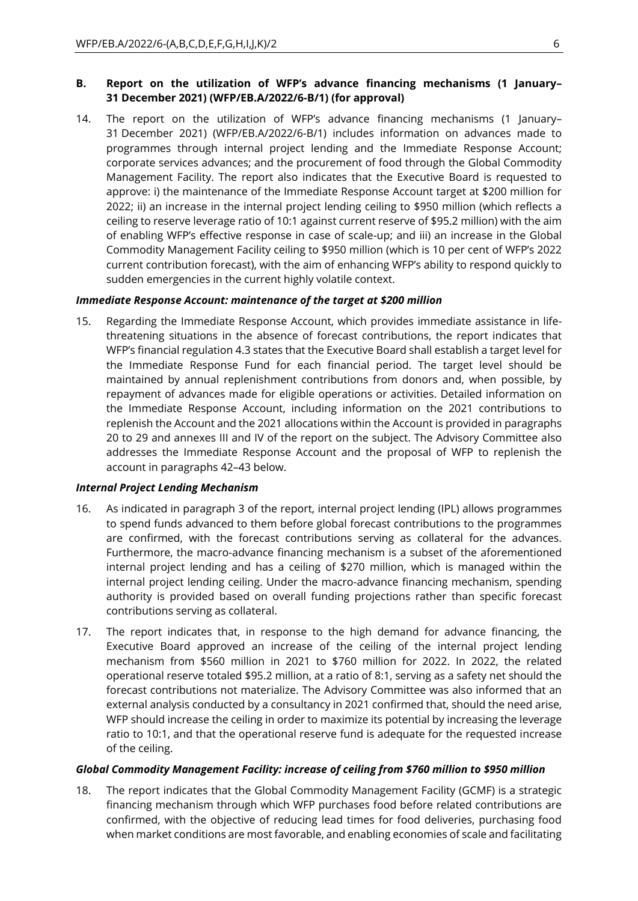# **B. Report on the utilization of WFP's advance financing mechanisms (1 January– 31 December 2021) (WFP/EB.A/2022/6-B/1) (for approval)**

14. The report on the utilization of WFP's advance financing mechanisms (1 January– 31 December 2021) (WFP/EB.A/2022/6-B/1) includes information on advances made to programmes through internal project lending and the Immediate Response Account; corporate services advances; and the procurement of food through the Global Commodity Management Facility. The report also indicates that the Executive Board is requested to approve: i) the maintenance of the Immediate Response Account target at \$200 million for 2022; ii) an increase in the internal project lending ceiling to \$950 million (which reflects a ceiling to reserve leverage ratio of 10:1 against current reserve of \$95.2 million) with the aim of enabling WFP's effective response in case of scale-up; and iii) an increase in the Global Commodity Management Facility ceiling to \$950 million (which is 10 per cent of WFP's 2022 current contribution forecast), with the aim of enhancing WFP's ability to respond quickly to sudden emergencies in the current highly volatile context.

#### *Immediate Response Account: maintenance of the target at \$200 million*

15. Regarding the Immediate Response Account, which provides immediate assistance in lifethreatening situations in the absence of forecast contributions, the report indicates that WFP's financial regulation 4.3 states that the Executive Board shall establish a target level for the Immediate Response Fund for each financial period. The target level should be maintained by annual replenishment contributions from donors and, when possible, by repayment of advances made for eligible operations or activities. Detailed information on the Immediate Response Account, including information on the 2021 contributions to replenish the Account and the 2021 allocations within the Account is provided in paragraphs 20 to 29 and annexes III and IV of the report on the subject. The Advisory Committee also addresses the Immediate Response Account and the proposal of WFP to replenish the account in paragraphs 42–43 below.

#### *Internal Project Lending Mechanism*

- 16. As indicated in paragraph 3 of the report, internal project lending (IPL) allows programmes to spend funds advanced to them before global forecast contributions to the programmes are confirmed, with the forecast contributions serving as collateral for the advances. Furthermore, the macro-advance financing mechanism is a subset of the aforementioned internal project lending and has a ceiling of \$270 million, which is managed within the internal project lending ceiling. Under the macro-advance financing mechanism, spending authority is provided based on overall funding projections rather than specific forecast contributions serving as collateral.
- 17. The report indicates that, in response to the high demand for advance financing, the Executive Board approved an increase of the ceiling of the internal project lending mechanism from \$560 million in 2021 to \$760 million for 2022. In 2022, the related operational reserve totaled \$95.2 million, at a ratio of 8:1, serving as a safety net should the forecast contributions not materialize. The Advisory Committee was also informed that an external analysis conducted by a consultancy in 2021 confirmed that, should the need arise, WFP should increase the ceiling in order to maximize its potential by increasing the leverage ratio to 10:1, and that the operational reserve fund is adequate for the requested increase of the ceiling.

#### *Global Commodity Management Facility: increase of ceiling from \$760 million to \$950 million*

18. The report indicates that the Global Commodity Management Facility (GCMF) is a strategic financing mechanism through which WFP purchases food before related contributions are confirmed, with the objective of reducing lead times for food deliveries, purchasing food when market conditions are most favorable, and enabling economies of scale and facilitating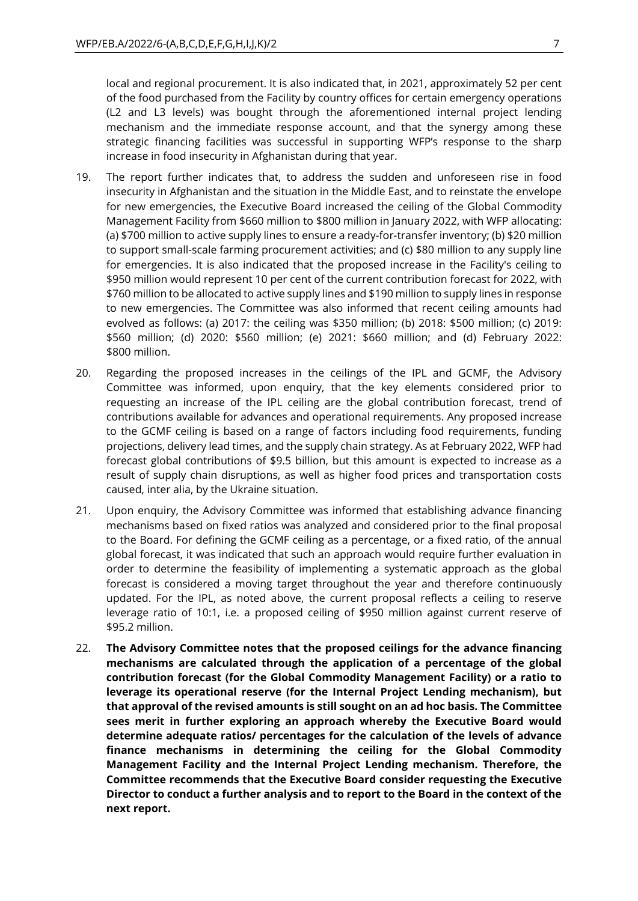local and regional procurement. It is also indicated that, in 2021, approximately 52 per cent of the food purchased from the Facility by country offices for certain emergency operations (L2 and L3 levels) was bought through the aforementioned internal project lending mechanism and the immediate response account, and that the synergy among these strategic financing facilities was successful in supporting WFP's response to the sharp increase in food insecurity in Afghanistan during that year.

- 19. The report further indicates that, to address the sudden and unforeseen rise in food insecurity in Afghanistan and the situation in the Middle East, and to reinstate the envelope for new emergencies, the Executive Board increased the ceiling of the Global Commodity Management Facility from \$660 million to \$800 million in January 2022, with WFP allocating: (a) \$700 million to active supply lines to ensure a ready-for-transfer inventory; (b) \$20 million to support small-scale farming procurement activities; and (c) \$80 million to any supply line for emergencies. It is also indicated that the proposed increase in the Facility's ceiling to \$950 million would represent 10 per cent of the current contribution forecast for 2022, with \$760 million to be allocated to active supply lines and \$190 million to supply lines in response to new emergencies. The Committee was also informed that recent ceiling amounts had evolved as follows: (a) 2017: the ceiling was \$350 million; (b) 2018: \$500 million; (c) 2019: \$560 million; (d) 2020: \$560 million; (e) 2021: \$660 million; and (d) February 2022: \$800 million.
- 20. Regarding the proposed increases in the ceilings of the IPL and GCMF, the Advisory Committee was informed, upon enquiry, that the key elements considered prior to requesting an increase of the IPL ceiling are the global contribution forecast, trend of contributions available for advances and operational requirements. Any proposed increase to the GCMF ceiling is based on a range of factors including food requirements, funding projections, delivery lead times, and the supply chain strategy. As at February 2022, WFP had forecast global contributions of \$9.5 billion, but this amount is expected to increase as a result of supply chain disruptions, as well as higher food prices and transportation costs caused, inter alia, by the Ukraine situation.
- 21. Upon enquiry, the Advisory Committee was informed that establishing advance financing mechanisms based on fixed ratios was analyzed and considered prior to the final proposal to the Board. For defining the GCMF ceiling as a percentage, or a fixed ratio, of the annual global forecast, it was indicated that such an approach would require further evaluation in order to determine the feasibility of implementing a systematic approach as the global forecast is considered a moving target throughout the year and therefore continuously updated. For the IPL, as noted above, the current proposal reflects a ceiling to reserve leverage ratio of 10:1, i.e. a proposed ceiling of \$950 million against current reserve of \$95.2 million.
- 22. **The Advisory Committee notes that the proposed ceilings for the advance financing mechanisms are calculated through the application of a percentage of the global contribution forecast (for the Global Commodity Management Facility) or a ratio to leverage its operational reserve (for the Internal Project Lending mechanism), but that approval of the revised amounts is still sought on an ad hoc basis. The Committee sees merit in further exploring an approach whereby the Executive Board would determine adequate ratios/ percentages for the calculation of the levels of advance finance mechanisms in determining the ceiling for the Global Commodity Management Facility and the Internal Project Lending mechanism. Therefore, the Committee recommends that the Executive Board consider requesting the Executive Director to conduct a further analysis and to report to the Board in the context of the next report.**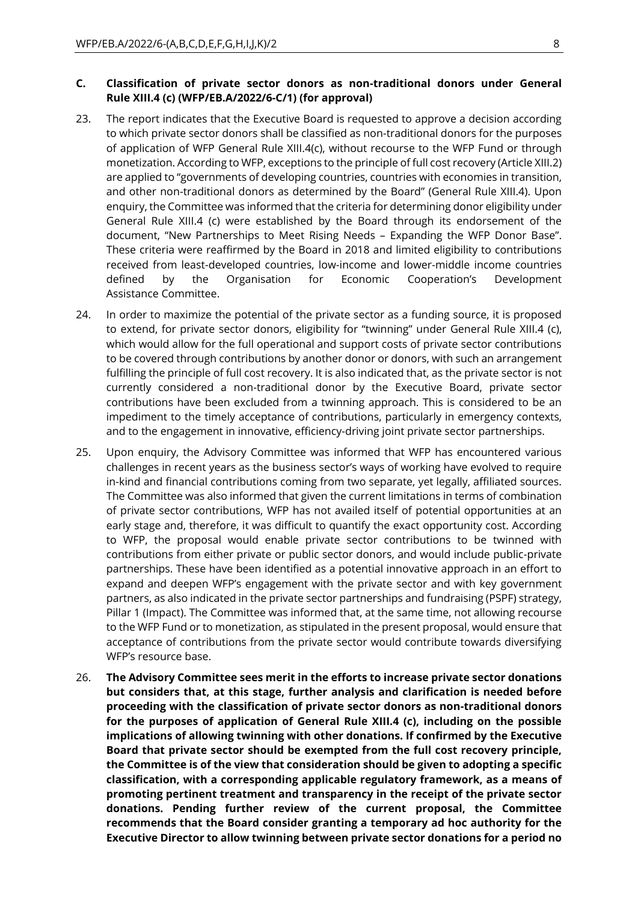### **C. Classification of private sector donors as non-traditional donors under General Rule XIII.4 (c) (WFP/EB.A/2022/6-C/1) (for approval)**

- 23. The report indicates that the Executive Board is requested to approve a decision according to which private sector donors shall be classified as non-traditional donors for the purposes of application of WFP General Rule XIII.4(c), without recourse to the WFP Fund or through monetization. According to WFP, exceptions to the principle of full cost recovery (Article XIII.2) are applied to "governments of developing countries, countries with economies in transition, and other non-traditional donors as determined by the Board" (General Rule XIII.4). Upon enquiry, the Committee was informed that the criteria for determining donor eligibility under General Rule XIII.4 (c) were established by the Board through its endorsement of the document, "New Partnerships to Meet Rising Needs – Expanding the WFP Donor Base". These criteria were reaffirmed by the Board in 2018 and limited eligibility to contributions received from least-developed countries, low-income and lower-middle income countries defined by the Organisation for Economic Cooperation's Development Assistance Committee.
- 24. In order to maximize the potential of the private sector as a funding source, it is proposed to extend, for private sector donors, eligibility for "twinning" under General Rule XIII.4 (c), which would allow for the full operational and support costs of private sector contributions to be covered through contributions by another donor or donors, with such an arrangement fulfilling the principle of full cost recovery. It is also indicated that, as the private sector is not currently considered a non-traditional donor by the Executive Board, private sector contributions have been excluded from a twinning approach. This is considered to be an impediment to the timely acceptance of contributions, particularly in emergency contexts, and to the engagement in innovative, efficiency-driving joint private sector partnerships.
- 25. Upon enquiry, the Advisory Committee was informed that WFP has encountered various challenges in recent years as the business sector's ways of working have evolved to require in-kind and financial contributions coming from two separate, yet legally, affiliated sources. The Committee was also informed that given the current limitations in terms of combination of private sector contributions, WFP has not availed itself of potential opportunities at an early stage and, therefore, it was difficult to quantify the exact opportunity cost. According to WFP, the proposal would enable private sector contributions to be twinned with contributions from either private or public sector donors, and would include public-private partnerships. These have been identified as a potential innovative approach in an effort to expand and deepen WFP's engagement with the private sector and with key government partners, as also indicated in the private sector partnerships and fundraising (PSPF) strategy, Pillar 1 (Impact). The Committee was informed that, at the same time, not allowing recourse to the WFP Fund or to monetization, as stipulated in the present proposal, would ensure that acceptance of contributions from the private sector would contribute towards diversifying WFP's resource base.
- 26. **The Advisory Committee sees merit in the efforts to increase private sector donations but considers that, at this stage, further analysis and clarification is needed before proceeding with the classification of private sector donors as non-traditional donors for the purposes of application of General Rule XIII.4 (c), including on the possible implications of allowing twinning with other donations. If confirmed by the Executive Board that private sector should be exempted from the full cost recovery principle, the Committee is of the view that consideration should be given to adopting a specific classification, with a corresponding applicable regulatory framework, as a means of promoting pertinent treatment and transparency in the receipt of the private sector donations. Pending further review of the current proposal, the Committee recommends that the Board consider granting a temporary ad hoc authority for the Executive Director to allow twinning between private sector donations for a period no**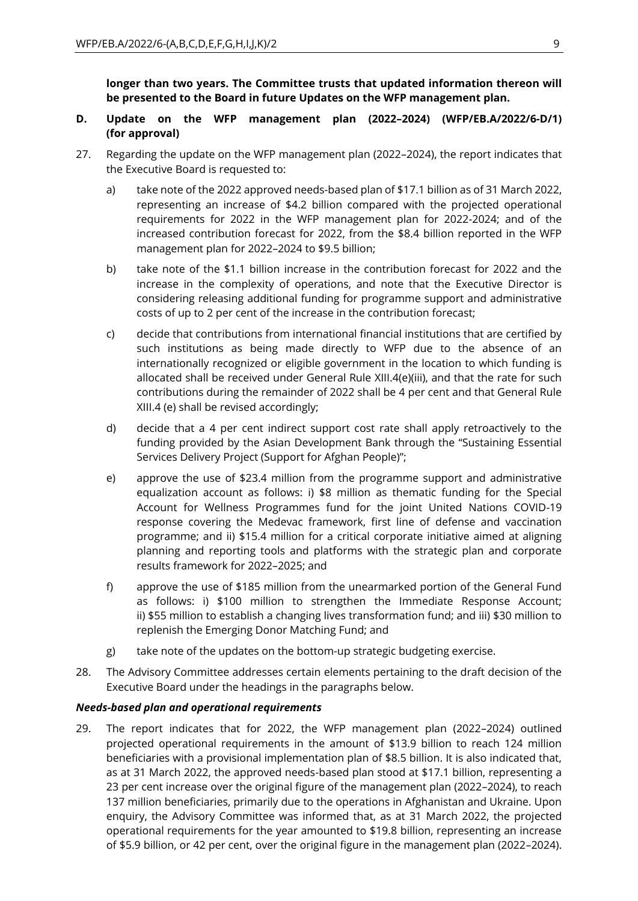**longer than two years. The Committee trusts that updated information thereon will be presented to the Board in future Updates on the WFP management plan.** 

#### **D. Update on the WFP management plan (2022–2024) (WFP/EB.A/2022/6-D/1) (for approval)**

- 27. Regarding the update on the WFP management plan (2022–2024), the report indicates that the Executive Board is requested to:
	- a) take note of the 2022 approved needs-based plan of \$17.1 billion as of 31 March 2022, representing an increase of \$4.2 billion compared with the projected operational requirements for 2022 in the WFP management plan for 2022-2024; and of the increased contribution forecast for 2022, from the \$8.4 billion reported in the WFP management plan for 2022–2024 to \$9.5 billion;
	- b) take note of the \$1.1 billion increase in the contribution forecast for 2022 and the increase in the complexity of operations, and note that the Executive Director is considering releasing additional funding for programme support and administrative costs of up to 2 per cent of the increase in the contribution forecast;
	- c) decide that contributions from international financial institutions that are certified by such institutions as being made directly to WFP due to the absence of an internationally recognized or eligible government in the location to which funding is allocated shall be received under General Rule XIII.4(e)(iii), and that the rate for such contributions during the remainder of 2022 shall be 4 per cent and that General Rule XIII.4 (e) shall be revised accordingly;
	- d) decide that a 4 per cent indirect support cost rate shall apply retroactively to the funding provided by the Asian Development Bank through the "Sustaining Essential Services Delivery Project (Support for Afghan People)";
	- e) approve the use of \$23.4 million from the programme support and administrative equalization account as follows: i) \$8 million as thematic funding for the Special Account for Wellness Programmes fund for the joint United Nations COVID-19 response covering the Medevac framework, first line of defense and vaccination programme; and ii) \$15.4 million for a critical corporate initiative aimed at aligning planning and reporting tools and platforms with the strategic plan and corporate results framework for 2022–2025; and
	- f) approve the use of \$185 million from the unearmarked portion of the General Fund as follows: i) \$100 million to strengthen the Immediate Response Account; ii) \$55 million to establish a changing lives transformation fund; and iii) \$30 million to replenish the Emerging Donor Matching Fund; and
	- g) take note of the updates on the bottom-up strategic budgeting exercise.
- 28. The Advisory Committee addresses certain elements pertaining to the draft decision of the Executive Board under the headings in the paragraphs below.

#### *Needs-based plan and operational requirements*

29. The report indicates that for 2022, the WFP management plan (2022–2024) outlined projected operational requirements in the amount of \$13.9 billion to reach 124 million beneficiaries with a provisional implementation plan of \$8.5 billion. It is also indicated that, as at 31 March 2022, the approved needs-based plan stood at \$17.1 billion, representing a 23 per cent increase over the original figure of the management plan (2022–2024), to reach 137 million beneficiaries, primarily due to the operations in Afghanistan and Ukraine. Upon enquiry, the Advisory Committee was informed that, as at 31 March 2022, the projected operational requirements for the year amounted to \$19.8 billion, representing an increase of \$5.9 billion, or 42 per cent, over the original figure in the management plan (2022–2024).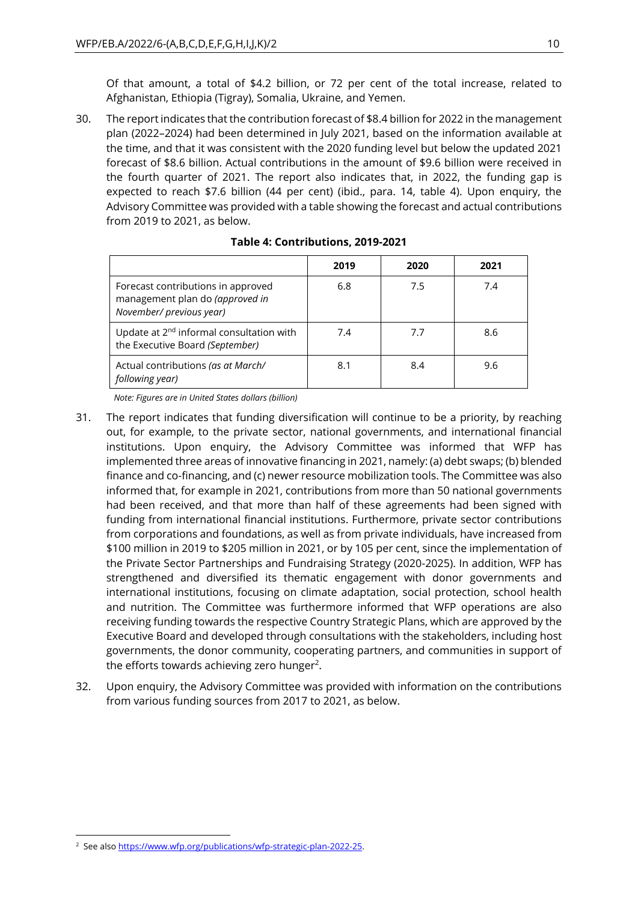Of that amount, a total of \$4.2 billion, or 72 per cent of the total increase, related to Afghanistan, Ethiopia (Tigray), Somalia, Ukraine, and Yemen.

30. The report indicates that the contribution forecast of \$8.4 billion for 2022 in the management plan (2022–2024) had been determined in July 2021, based on the information available at the time, and that it was consistent with the 2020 funding level but below the updated 2021 forecast of \$8.6 billion. Actual contributions in the amount of \$9.6 billion were received in the fourth quarter of 2021. The report also indicates that, in 2022, the funding gap is expected to reach \$7.6 billion (44 per cent) (ibid., para. 14, table 4). Upon enquiry, the Advisory Committee was provided with a table showing the forecast and actual contributions from 2019 to 2021, as below.

|                                                                                                   | 2019 | 2020 | 2021 |
|---------------------------------------------------------------------------------------------------|------|------|------|
| Forecast contributions in approved<br>management plan do (approved in<br>November/ previous year) | 6.8  | 7.5  | 7.4  |
| Update at 2 <sup>nd</sup> informal consultation with<br>the Executive Board (September)           | 7.4  | 7.7  | 8.6  |
| Actual contributions (as at March/<br>following year)                                             | 8.1  | 8.4  | 9.6  |

# **Table 4: Contributions, 2019-2021**

*Note: Figures are in United States dollars (billion)*

- 31. The report indicates that funding diversification will continue to be a priority, by reaching out, for example, to the private sector, national governments, and international financial institutions. Upon enquiry, the Advisory Committee was informed that WFP has implemented three areas of innovative financing in 2021, namely: (a) debt swaps; (b) blended finance and co-financing, and (c) newer resource mobilization tools. The Committee was also informed that, for example in 2021, contributions from more than 50 national governments had been received, and that more than half of these agreements had been signed with funding from international financial institutions. Furthermore, private sector contributions from corporations and foundations, as well as from private individuals, have increased from \$100 million in 2019 to \$205 million in 2021, or by 105 per cent, since the implementation of the Private Sector Partnerships and Fundraising Strategy (2020-2025). In addition, WFP has strengthened and diversified its thematic engagement with donor governments and international institutions, focusing on climate adaptation, social protection, school health and nutrition. The Committee was furthermore informed that WFP operations are also receiving funding towards the respective Country Strategic Plans, which are approved by the Executive Board and developed through consultations with the stakeholders, including host governments, the donor community, cooperating partners, and communities in support of the efforts towards achieving zero hunger<sup>2</sup>.
- 32. Upon enquiry, the Advisory Committee was provided with information on the contributions from various funding sources from 2017 to 2021, as below.

<sup>&</sup>lt;sup>2</sup> See als[o https://www.wfp.org/publications/wfp-strategic-plan-2022-25.](https://www.wfp.org/publications/wfp-strategic-plan-2022-25)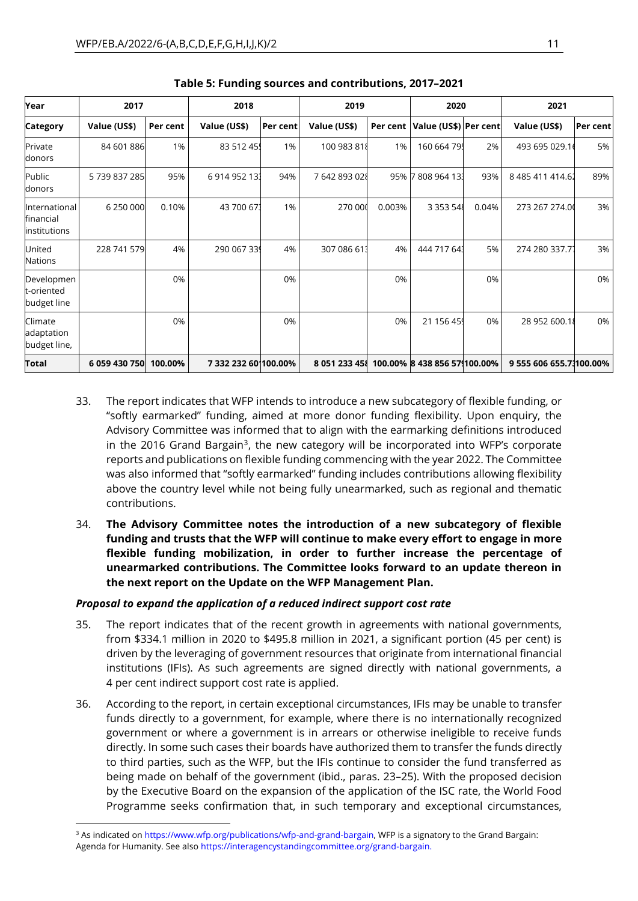| Year<br>2017                               |                       | 2018     |                      | 2019     |               | 2020     |                              | 2021  |                         |          |
|--------------------------------------------|-----------------------|----------|----------------------|----------|---------------|----------|------------------------------|-------|-------------------------|----------|
|                                            |                       |          |                      |          |               |          |                              |       |                         |          |
| <b>Category</b>                            | Value (US\$)          | Per cent | Value (US\$)         | Per cent | Value (US\$)  | Per cent | Value (US\$) Per cent        |       | Value (US\$)            | Per cent |
| Private<br>donors                          | 84 601 886            | 1%       | 83 512 45            | 1%       | 100 983 818   | 1%       | 160 664 795                  | 2%    | 493 695 029.16          | 5%       |
| Public<br>donors                           | 5739837285            | 95%      | 6 914 952 13         | 94%      | 7 642 893 028 |          | 95% 7808964133               | 93%   | 8 485 411 414.62        | 89%      |
| International<br>financial<br>institutions | 6 250 000             | 0.10%    | 43 700 67            | 1%       | 270 00        | 0.003%   | 3 3 5 3 5 4 8                | 0.04% | 273 267 274.00          | 3%       |
| United<br><b>Nations</b>                   | 228 741 579           | 4%       | 290 067 339          | 4%       | 307 086 61    | 4%       | 444 717 643                  | 5%    | 274 280 337.77          | 3%       |
| Developmen<br>t-oriented<br>budget line    |                       | 0%       |                      | 0%       |               | 0%       |                              | 0%    |                         | 0%       |
| Climate<br>adaptation<br>budget line,      |                       | 0%       |                      | 0%       |               | 0%       | 21 156 459                   | 0%    | 28 952 600.18           | 0%       |
| Total                                      | 6 059 430 750 100.00% |          | 7 332 232 60 100.00% |          | 8 051 233 451 |          | 100.00% 8 438 856 579100.00% |       | 9 555 606 655.71100.00% |          |

|  |  |  |  |  | Table 5: Funding sources and contributions, 2017-2021 |  |
|--|--|--|--|--|-------------------------------------------------------|--|
|--|--|--|--|--|-------------------------------------------------------|--|

- 33. The report indicates that WFP intends to introduce a new subcategory of flexible funding, or "softly earmarked" funding, aimed at more donor funding flexibility. Upon enquiry, the Advisory Committee was informed that to align with the earmarking definitions introduced in the 2016 Grand Bargain<sup>3</sup>, the new category will be incorporated into WFP's corporate reports and publications on flexible funding commencing with the year 2022. The Committee was also informed that "softly earmarked" funding includes contributions allowing flexibility above the country level while not being fully unearmarked, such as regional and thematic contributions.
- 34. **The Advisory Committee notes the introduction of a new subcategory of flexible funding and trusts that the WFP will continue to make every effort to engage in more flexible funding mobilization, in order to further increase the percentage of unearmarked contributions. The Committee looks forward to an update thereon in the next report on the Update on the WFP Management Plan.**

# *Proposal to expand the application of a reduced indirect support cost rate*

- 35. The report indicates that of the recent growth in agreements with national governments, from \$334.1 million in 2020 to \$495.8 million in 2021, a significant portion (45 per cent) is driven by the leveraging of government resources that originate from international financial institutions (IFIs). As such agreements are signed directly with national governments, a 4 per cent indirect support cost rate is applied.
- 36. According to the report, in certain exceptional circumstances, IFIs may be unable to transfer funds directly to a government, for example, where there is no internationally recognized government or where a government is in arrears or otherwise ineligible to receive funds directly. In some such cases their boards have authorized them to transfer the funds directly to third parties, such as the WFP, but the IFIs continue to consider the fund transferred as being made on behalf of the government (ibid., paras. 23–25). With the proposed decision by the Executive Board on the expansion of the application of the ISC rate, the World Food Programme seeks confirmation that, in such temporary and exceptional circumstances,

<sup>&</sup>lt;sup>3</sup> As indicated on [https://www.wfp.org/publications/wfp-and-grand-bargain,](https://www.wfp.org/publications/wfp-and-grand-bargain) WFP is a signatory to the Grand Bargain: Agenda for Humanity. See als[o https://interagencystandingcommittee.org/grand-bargain.](https://interagencystandingcommittee.org/grand-bargain)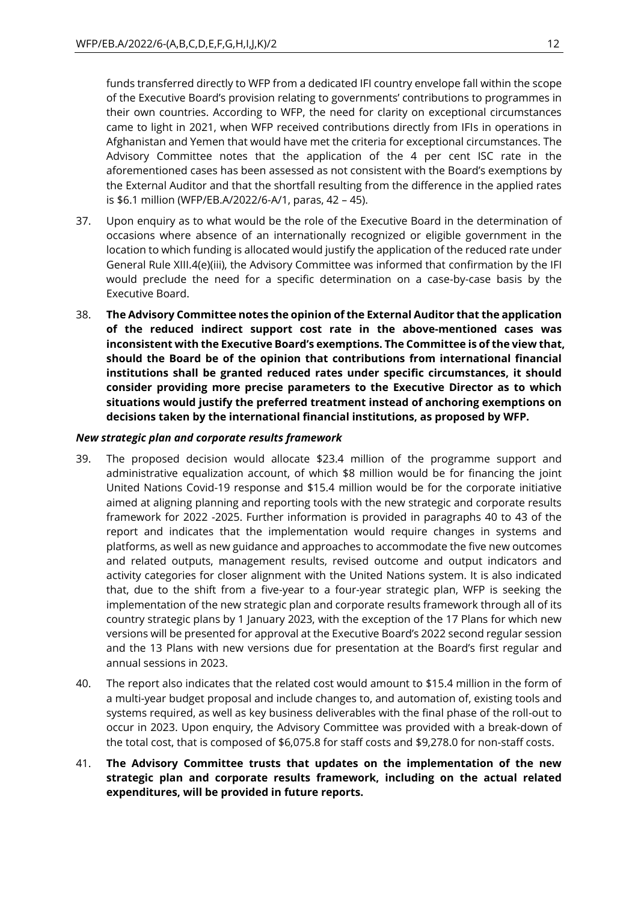funds transferred directly to WFP from a dedicated IFI country envelope fall within the scope of the Executive Board's provision relating to governments' contributions to programmes in their own countries. According to WFP, the need for clarity on exceptional circumstances came to light in 2021, when WFP received contributions directly from IFIs in operations in Afghanistan and Yemen that would have met the criteria for exceptional circumstances. The Advisory Committee notes that the application of the 4 per cent ISC rate in the aforementioned cases has been assessed as not consistent with the Board's exemptions by the External Auditor and that the shortfall resulting from the difference in the applied rates is \$6.1 million (WFP/EB.A/2022/6-A/1, paras, 42 – 45).

- 37. Upon enquiry as to what would be the role of the Executive Board in the determination of occasions where absence of an internationally recognized or eligible government in the location to which funding is allocated would justify the application of the reduced rate under General Rule XIII.4(e)(iii), the Advisory Committee was informed that confirmation by the IFI would preclude the need for a specific determination on a case-by-case basis by the Executive Board.
- 38. **The Advisory Committee notes the opinion of the External Auditor that the application of the reduced indirect support cost rate in the above-mentioned cases was inconsistent with the Executive Board's exemptions. The Committee is of the view that, should the Board be of the opinion that contributions from international financial institutions shall be granted reduced rates under specific circumstances, it should consider providing more precise parameters to the Executive Director as to which situations would justify the preferred treatment instead of anchoring exemptions on decisions taken by the international financial institutions, as proposed by WFP.**

# *New strategic plan and corporate results framework*

- 39. The proposed decision would allocate \$23.4 million of the programme support and administrative equalization account, of which \$8 million would be for financing the joint United Nations Covid-19 response and \$15.4 million would be for the corporate initiative aimed at aligning planning and reporting tools with the new strategic and corporate results framework for 2022 -2025. Further information is provided in paragraphs 40 to 43 of the report and indicates that the implementation would require changes in systems and platforms, as well as new guidance and approaches to accommodate the five new outcomes and related outputs, management results, revised outcome and output indicators and activity categories for closer alignment with the United Nations system. It is also indicated that, due to the shift from a five-year to a four-year strategic plan, WFP is seeking the implementation of the new strategic plan and corporate results framework through all of its country strategic plans by 1 January 2023, with the exception of the 17 Plans for which new versions will be presented for approval at the Executive Board's 2022 second regular session and the 13 Plans with new versions due for presentation at the Board's first regular and annual sessions in 2023.
- 40. The report also indicates that the related cost would amount to \$15.4 million in the form of a multi-year budget proposal and include changes to, and automation of, existing tools and systems required, as well as key business deliverables with the final phase of the roll-out to occur in 2023. Upon enquiry, the Advisory Committee was provided with a break-down of the total cost, that is composed of \$6,075.8 for staff costs and \$9,278.0 for non-staff costs.
- 41. **The Advisory Committee trusts that updates on the implementation of the new strategic plan and corporate results framework, including on the actual related expenditures, will be provided in future reports.**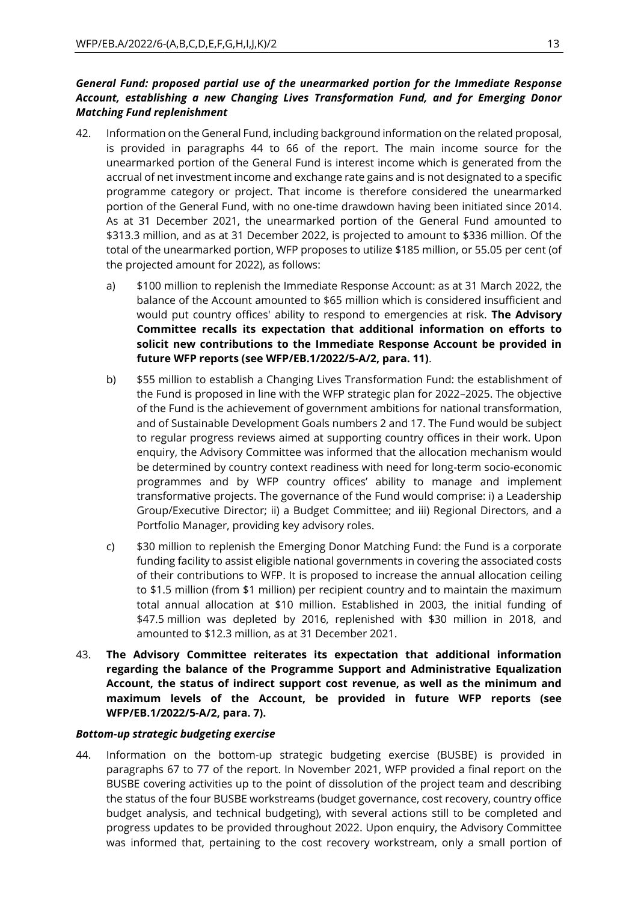# *General Fund: proposed partial use of the unearmarked portion for the Immediate Response Account, establishing a new Changing Lives Transformation Fund, and for Emerging Donor Matching Fund replenishment*

- 42. Information on the General Fund, including background information on the related proposal, is provided in paragraphs 44 to 66 of the report. The main income source for the unearmarked portion of the General Fund is interest income which is generated from the accrual of net investment income and exchange rate gains and is not designated to a specific programme category or project. That income is therefore considered the unearmarked portion of the General Fund, with no one-time drawdown having been initiated since 2014. As at 31 December 2021, the unearmarked portion of the General Fund amounted to \$313.3 million, and as at 31 December 2022, is projected to amount to \$336 million. Of the total of the unearmarked portion, WFP proposes to utilize \$185 million, or 55.05 per cent (of the projected amount for 2022), as follows:
	- a) \$100 million to replenish the Immediate Response Account: as at 31 March 2022, the balance of the Account amounted to \$65 million which is considered insufficient and would put country offices' ability to respond to emergencies at risk. **The Advisory Committee recalls its expectation that additional information on efforts to solicit new contributions to the Immediate Response Account be provided in future WFP reports (see WFP/EB.1/2022/5-A/2, para. 11)**.
	- b) \$55 million to establish a Changing Lives Transformation Fund: the establishment of the Fund is proposed in line with the WFP strategic plan for 2022–2025. The objective of the Fund is the achievement of government ambitions for national transformation, and of Sustainable Development Goals numbers 2 and 17. The Fund would be subject to regular progress reviews aimed at supporting country offices in their work. Upon enquiry, the Advisory Committee was informed that the allocation mechanism would be determined by country context readiness with need for long-term socio-economic programmes and by WFP country offices' ability to manage and implement transformative projects. The governance of the Fund would comprise: i) a Leadership Group/Executive Director; ii) a Budget Committee; and iii) Regional Directors, and a Portfolio Manager, providing key advisory roles.
	- c) \$30 million to replenish the Emerging Donor Matching Fund: the Fund is a corporate funding facility to assist eligible national governments in covering the associated costs of their contributions to WFP. It is proposed to increase the annual allocation ceiling to \$1.5 million (from \$1 million) per recipient country and to maintain the maximum total annual allocation at \$10 million. Established in 2003, the initial funding of \$47.5 million was depleted by 2016, replenished with \$30 million in 2018, and amounted to \$12.3 million, as at 31 December 2021.
- 43. **The Advisory Committee reiterates its expectation that additional information regarding the balance of the Programme Support and Administrative Equalization Account, the status of indirect support cost revenue, as well as the minimum and maximum levels of the Account, be provided in future WFP reports (see WFP/EB.1/2022/5-A/2, para. 7).**

#### *Bottom-up strategic budgeting exercise*

44. Information on the bottom-up strategic budgeting exercise (BUSBE) is provided in paragraphs 67 to 77 of the report. In November 2021, WFP provided a final report on the BUSBE covering activities up to the point of dissolution of the project team and describing the status of the four BUSBE workstreams (budget governance, cost recovery, country office budget analysis, and technical budgeting), with several actions still to be completed and progress updates to be provided throughout 2022. Upon enquiry, the Advisory Committee was informed that, pertaining to the cost recovery workstream, only a small portion of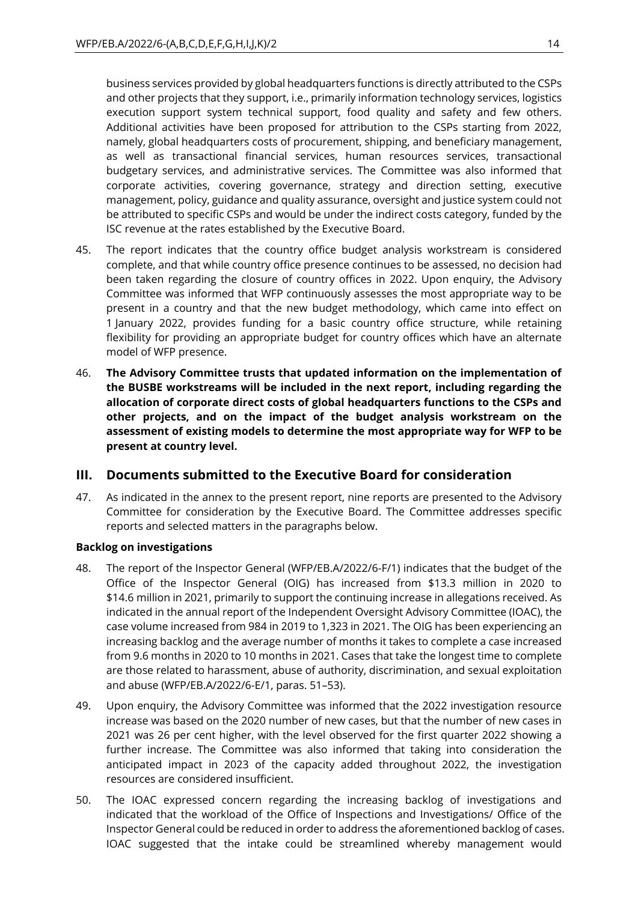business services provided by global headquarters functions is directly attributed to the CSPs and other projects that they support, i.e., primarily information technology services, logistics execution support system technical support, food quality and safety and few others. Additional activities have been proposed for attribution to the CSPs starting from 2022, namely, global headquarters costs of procurement, shipping, and beneficiary management, as well as transactional financial services, human resources services, transactional budgetary services, and administrative services. The Committee was also informed that corporate activities, covering governance, strategy and direction setting, executive management, policy, guidance and quality assurance, oversight and justice system could not be attributed to specific CSPs and would be under the indirect costs category, funded by the ISC revenue at the rates established by the Executive Board.

- 45. The report indicates that the country office budget analysis workstream is considered complete, and that while country office presence continues to be assessed, no decision had been taken regarding the closure of country offices in 2022. Upon enquiry, the Advisory Committee was informed that WFP continuously assesses the most appropriate way to be present in a country and that the new budget methodology, which came into effect on 1 January 2022, provides funding for a basic country office structure, while retaining flexibility for providing an appropriate budget for country offices which have an alternate model of WFP presence.
- 46. **The Advisory Committee trusts that updated information on the implementation of the BUSBE workstreams will be included in the next report, including regarding the allocation of corporate direct costs of global headquarters functions to the CSPs and other projects, and on the impact of the budget analysis workstream on the assessment of existing models to determine the most appropriate way for WFP to be present at country level.**

# **III. Documents submitted to the Executive Board for consideration**

47. As indicated in the annex to the present report, nine reports are presented to the Advisory Committee for consideration by the Executive Board. The Committee addresses specific reports and selected matters in the paragraphs below.

# **Backlog on investigations**

- 48. The report of the Inspector General (WFP/EB.A/2022/6-F/1) indicates that the budget of the Office of the Inspector General (OIG) has increased from \$13.3 million in 2020 to \$14.6 million in 2021, primarily to support the continuing increase in allegations received. As indicated in the annual report of the Independent Oversight Advisory Committee (IOAC), the case volume increased from 984 in 2019 to 1,323 in 2021. The OIG has been experiencing an increasing backlog and the average number of months it takes to complete a case increased from 9.6 months in 2020 to 10 months in 2021. Cases that take the longest time to complete are those related to harassment, abuse of authority, discrimination, and sexual exploitation and abuse (WFP/EB.A/2022/6-E/1, paras. 51–53).
- 49. Upon enquiry, the Advisory Committee was informed that the 2022 investigation resource increase was based on the 2020 number of new cases, but that the number of new cases in 2021 was 26 per cent higher, with the level observed for the first quarter 2022 showing a further increase. The Committee was also informed that taking into consideration the anticipated impact in 2023 of the capacity added throughout 2022, the investigation resources are considered insufficient.
- 50. The IOAC expressed concern regarding the increasing backlog of investigations and indicated that the workload of the Office of Inspections and Investigations/ Office of the Inspector General could be reduced in order to address the aforementioned backlog of cases. IOAC suggested that the intake could be streamlined whereby management would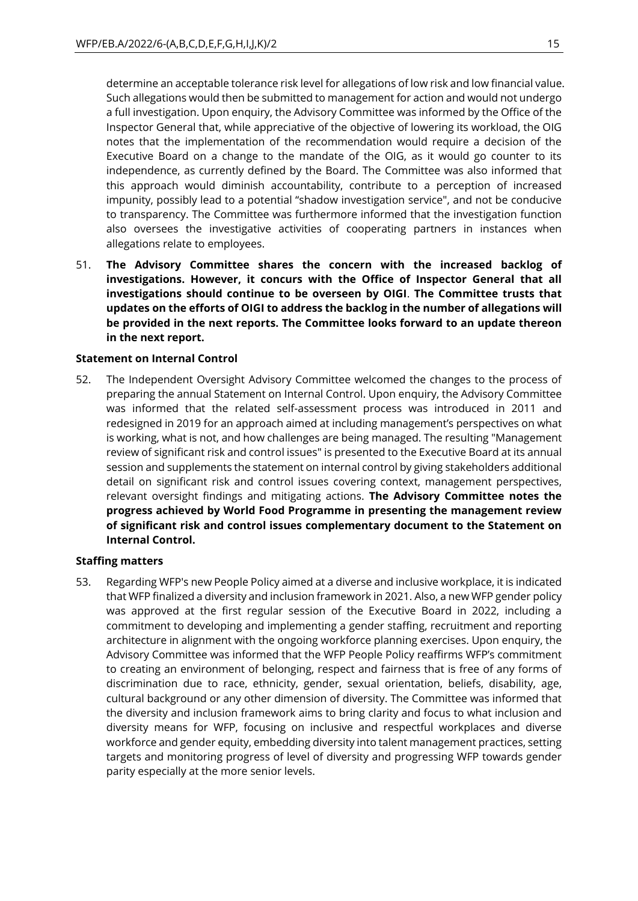determine an acceptable tolerance risk level for allegations of low risk and low financial value. Such allegations would then be submitted to management for action and would not undergo a full investigation. Upon enquiry, the Advisory Committee was informed by the Office of the Inspector General that, while appreciative of the objective of lowering its workload, the OIG notes that the implementation of the recommendation would require a decision of the Executive Board on a change to the mandate of the OIG, as it would go counter to its independence, as currently defined by the Board. The Committee was also informed that this approach would diminish accountability, contribute to a perception of increased impunity, possibly lead to a potential "shadow investigation service", and not be conducive to transparency. The Committee was furthermore informed that the investigation function also oversees the investigative activities of cooperating partners in instances when allegations relate to employees.

51. **The Advisory Committee shares the concern with the increased backlog of investigations. However, it concurs with the Office of Inspector General that all investigations should continue to be overseen by OIGI**. **The Committee trusts that updates on the efforts of OIGI to address the backlog in the number of allegations will be provided in the next reports. The Committee looks forward to an update thereon in the next report.** 

#### **Statement on Internal Control**

52. The Independent Oversight Advisory Committee welcomed the changes to the process of preparing the annual Statement on Internal Control. Upon enquiry, the Advisory Committee was informed that the related self-assessment process was introduced in 2011 and redesigned in 2019 for an approach aimed at including management's perspectives on what is working, what is not, and how challenges are being managed. The resulting "Management review of significant risk and control issues" is presented to the Executive Board at its annual session and supplements the statement on internal control by giving stakeholders additional detail on significant risk and control issues covering context, management perspectives, relevant oversight findings and mitigating actions. **The Advisory Committee notes the progress achieved by World Food Programme in presenting the management review of significant risk and control issues complementary document to the Statement on Internal Control.**

#### **Staffing matters**

53. Regarding WFP's new People Policy aimed at a diverse and inclusive workplace, it is indicated that WFP finalized a diversity and inclusion framework in 2021. Also, a new WFP gender policy was approved at the first regular session of the Executive Board in 2022, including a commitment to developing and implementing a gender staffing, recruitment and reporting architecture in alignment with the ongoing workforce planning exercises. Upon enquiry, the Advisory Committee was informed that the WFP People Policy reaffirms WFP's commitment to creating an environment of belonging, respect and fairness that is free of any forms of discrimination due to race, ethnicity, gender, sexual orientation, beliefs, disability, age, cultural background or any other dimension of diversity. The Committee was informed that the diversity and inclusion framework aims to bring clarity and focus to what inclusion and diversity means for WFP, focusing on inclusive and respectful workplaces and diverse workforce and gender equity, embedding diversity into talent management practices, setting targets and monitoring progress of level of diversity and progressing WFP towards gender parity especially at the more senior levels.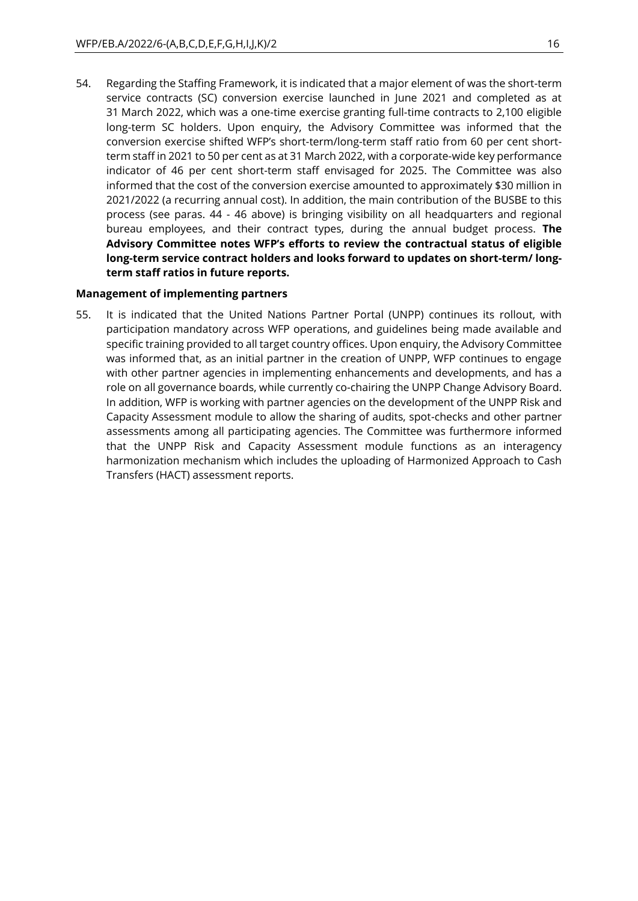54. Regarding the Staffing Framework, it is indicated that a major element of was the short-term service contracts (SC) conversion exercise launched in June 2021 and completed as at 31 March 2022, which was a one-time exercise granting full-time contracts to 2,100 eligible long-term SC holders. Upon enquiry, the Advisory Committee was informed that the conversion exercise shifted WFP's short-term/long-term staff ratio from 60 per cent shortterm staff in 2021 to 50 per cent as at 31 March 2022, with a corporate-wide key performance indicator of 46 per cent short-term staff envisaged for 2025. The Committee was also informed that the cost of the conversion exercise amounted to approximately \$30 million in 2021/2022 (a recurring annual cost). In addition, the main contribution of the BUSBE to this process (see paras. 44 - 46 above) is bringing visibility on all headquarters and regional bureau employees, and their contract types, during the annual budget process. **The Advisory Committee notes WFP's efforts to review the contractual status of eligible long-term service contract holders and looks forward to updates on short-term/ longterm staff ratios in future reports.** 

#### **Management of implementing partners**

55. It is indicated that the United Nations Partner Portal (UNPP) continues its rollout, with participation mandatory across WFP operations, and guidelines being made available and specific training provided to all target country offices. Upon enquiry, the Advisory Committee was informed that, as an initial partner in the creation of UNPP, WFP continues to engage with other partner agencies in implementing enhancements and developments, and has a role on all governance boards, while currently co-chairing the UNPP Change Advisory Board. In addition, WFP is working with partner agencies on the development of the UNPP Risk and Capacity Assessment module to allow the sharing of audits, spot-checks and other partner assessments among all participating agencies. The Committee was furthermore informed that the UNPP Risk and Capacity Assessment module functions as an interagency harmonization mechanism which includes the uploading of Harmonized Approach to Cash Transfers (HACT) assessment reports.